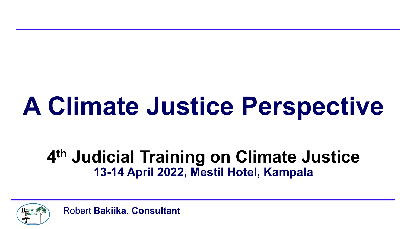# **A Climate Justice Perspective**

## **4th Judicial Training on Climate Justice 13-14 April 2022, Mestil Hotel, Kampala**



Robert **Bakiika**, **Consultant**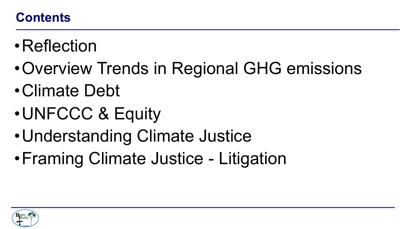#### **Contents**

- •Reflection
- •Overview Trends in Regional GHG emissions
- •Climate Debt
- •UNFCCC & Equity
- •Understanding Climate Justice
- •Framing Climate Justice Litigation

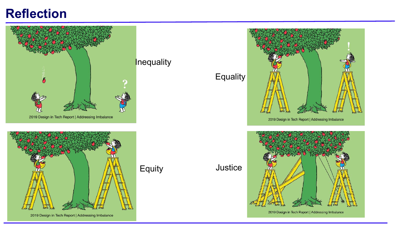#### **Reflection**



2019 Design in Tech Report | Addressing Imbalance

#### **Inequality**

Equality

Equity Justice



2019 Design in Tech Report | Addressing Imbalance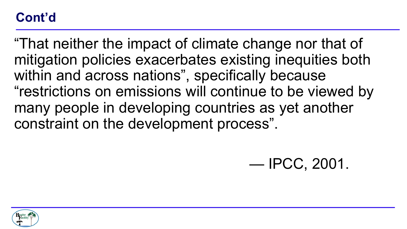#### **Cont'd**

"That neither the impact of climate change nor that of mitigation policies exacerbates existing inequities both within and across nations", specifically because "restrictions on emissions will continue to be viewed by many people in developing countries as yet another constraint on the development process".

— IPCC, 2001.

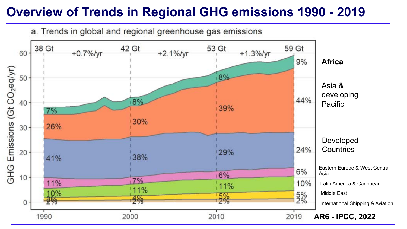## **Overview of Trends in Regional GHG emissions 1990 - 2019**

a. Trends in global and regional greenhouse gas emissions

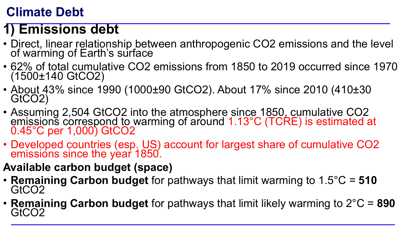## **Climate Debt**

## **1) Emissions debt**

- Direct, linear relationship between anthropogenic CO2 emissions and the level of warming of Earth's surface
- 62% of total cumulative CO2 emissions from 1850 to 2019 occurred since 1970 (1500±140 GtCO2)
- About 43% since 1990 (1000±90 GtCO2). About 17% since 2010 (410±30 GtCO2)
- Assuming 2,504 GtCO2 into the atmosphere since 1850, cumulative CO2 emissions correspond to warming of around 1.13°C (TCRE) is estimated at<br>0.45°C per 1,000) GtCO2
- Developed countries (esp. US) account for largest share of cumulative CO2 emissions since the year 1850.
- **Available carbon budget (space)**
- **Remaining Carbon budget** for pathways that limit warming to 1.5°C = **510** GtCO2
- **Remaining Carbon budget** for pathways that limit likely warming to 2°C = **890** GtCO2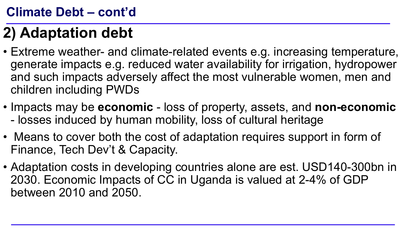## **Climate Debt – cont'd**

## **2) Adaptation debt**

- Extreme weather- and climate-related events e.g. increasing temperature, generate impacts e.g. reduced water availability for irrigation, hydropower and such impacts adversely affect the most vulnerable women, men and children including PWDs
- Impacts may be **economic** loss of property, assets, and **non-economic**  - losses induced by human mobility, loss of cultural heritage
- Means to cover both the cost of adaptation requires support in form of Finance, Tech Dev't & Capacity.
- Adaptation costs in developing countries alone are est. USD140-300bn in 2030. Economic Impacts of CC in Uganda is valued at 2-4% of GDP between 2010 and 2050.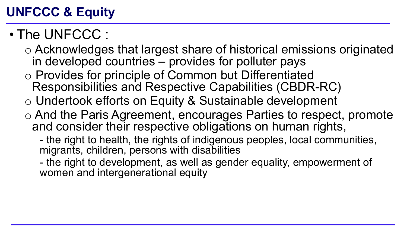## **UNFCCC & Equity**

## • The UNFCCC :

o Acknowledges that largest share of historical emissions originated in developed countries – provides for polluter pays

- o Provides for principle of Common but Differentiated Responsibilities and Respective Capabilities (CBDR-RC)
- o Undertook efforts on Equity & Sustainable development
- o And the Paris Agreement, encourages Parties to respect, promote and consider their respective obligations on human rights,

- the right to health, the rights of indigenous peoples, local communities, migrants, children, persons with disabilities

- the right to development, as well as gender equality, empowerment of women and intergenerational equity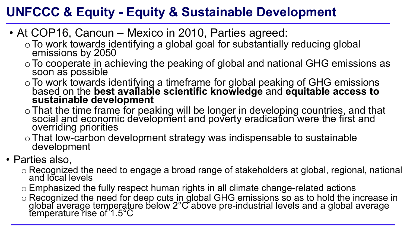## **UNFCCC & Equity - Equity & Sustainable Development**

- At COP16, Cancun Mexico in 2010, Parties agreed:
	- o To work towards identifying a global goal for substantially reducing global emissions by 2050
	- oTo cooperate in achieving the peaking of global and national GHG emissions as soon as possible
	- oTo work towards identifying a timeframe for global peaking of GHG emissions based on the **best available scientific knowledge** and **equitable access to sustainable development**
	- o That the time frame for peaking will be longer in developing countries, and that social and economic development and poverty eradication were the first and overriding priorities
	- <sup>o</sup>That low-carbon development strategy was indispensable to sustainable development
- Parties also,
	- o Recognized the need to engage a broad range of stakeholders at global, regional, national and local levels
	- o Emphasized the fully respect human rights in all climate change-related actions
	- o Recognized the need for deep cuts in global GHG emissions so as to hold the increase in global average temperature below 2°C above pre-industrial levels and a global average<br>temperature rise of 1.5°C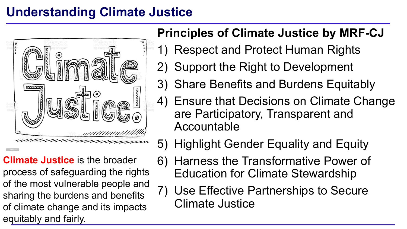## **Understanding Climate Justice**



## **Principles of Climate Justice by MRF-CJ**

- 1) Respect and Protect Human Rights
- 2) Support the Right to Development
- 3) Share Benefits and Burdens Equitably
- 4) Ensure that Decisions on Climate Change are Participatory, Transparent and Accountable
- 5) Highlight Gender Equality and Equity
- 6) Harness the Transformative Power of Education for Climate Stewardship
- 7) Use Effective Partnerships to Secure Climate Justice

**Climate Justice** is the broader process of safeguarding the rights of the most vulnerable people and sharing the burdens and benefits of climate change and its impacts equitably and fairly.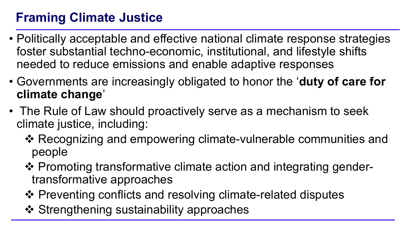## **Framing Climate Justice**

- Politically acceptable and effective national climate response strategies foster substantial techno-economic, institutional, and lifestyle shifts needed to reduce emissions and enable adaptive responses
- Governments are increasingly obligated to honor the '**duty of care for climate change**'
- The Rule of Law should proactively serve as a mechanism to seek climate justice, including:
	- v Recognizing and empowering climate-vulnerable communities and people
	- ❖ Promoting transformative climate action and integrating gendertransformative approaches
	- ❖ Preventing conflicts and resolving climate-related disputes
	- ❖ Strengthening sustainability approaches